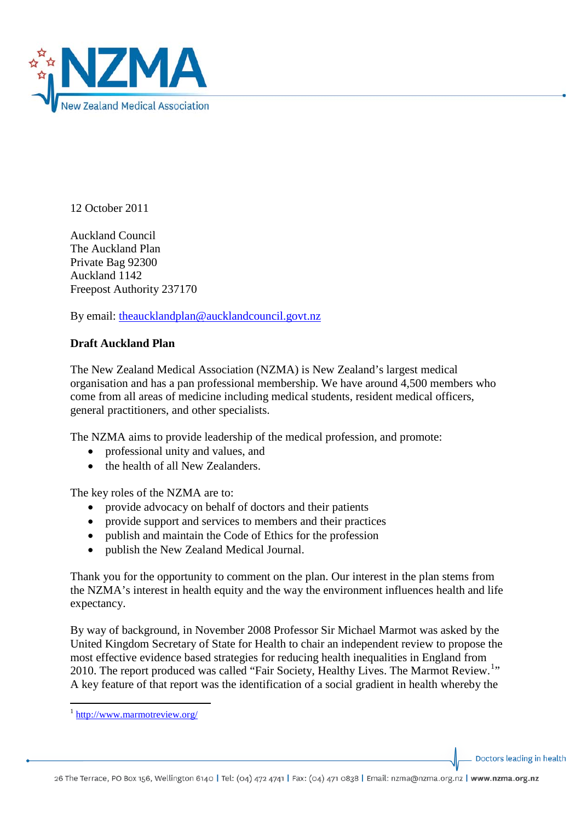

12 October 2011

Auckland Council The Auckland Plan Private Bag 92300 Auckland 1142 Freepost Authority 237170

By email: [theaucklandplan@aucklandcouncil.govt.nz](mailto:theaucklandplan@aucklandcouncil.govt.nz)

## **Draft Auckland Plan**

The New Zealand Medical Association (NZMA) is New Zealand's largest medical organisation and has a pan professional membership. We have around 4,500 members who come from all areas of medicine including medical students, resident medical officers, general practitioners, and other specialists.

The NZMA aims to provide leadership of the medical profession, and promote:

- professional unity and values, and
- the health of all New Zealanders

The key roles of the NZMA are to:

- provide advocacy on behalf of doctors and their patients
- provide support and services to members and their practices
- publish and maintain the Code of Ethics for the profession
- publish the New Zealand Medical Journal.

Thank you for the opportunity to comment on the plan. Our interest in the plan stems from the NZMA's interest in health equity and the way the environment influences health and life expectancy.

By way of background, in November 2008 Professor Sir Michael Marmot was asked by the United Kingdom Secretary of State for Health to chair an independent review to propose the most effective evidence based strategies for reducing health inequalities in England from 20[1](#page-0-0)0. The report produced was called "Fair Society, Healthy Lives. The Marmot Review.<sup>1</sup>" A key feature of that report was the identification of a social gradient in health whereby the

Doctors leading in health

<span id="page-0-0"></span><sup>&</sup>lt;sup>1</sup> <http://www.marmotreview.org/>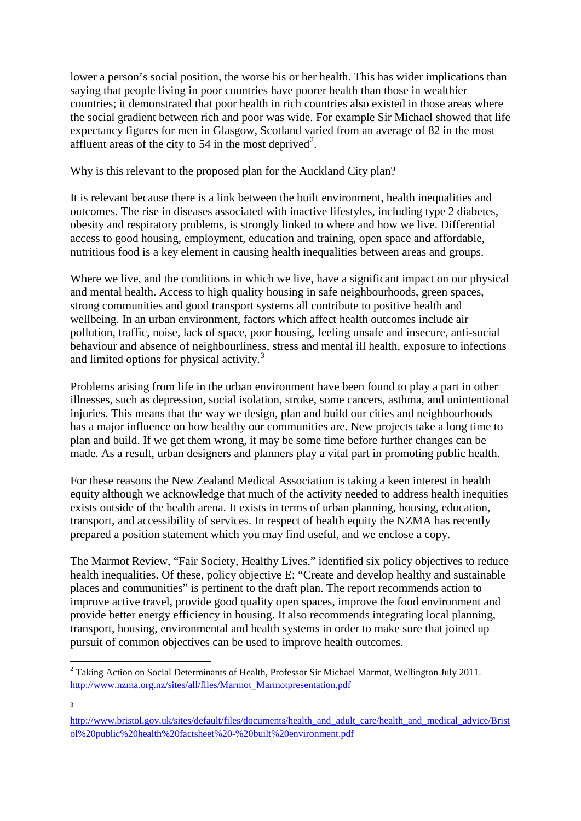lower a person's social position, the worse his or her health. This has wider implications than saying that people living in poor countries have poorer health than those in wealthier countries; it demonstrated that poor health in rich countries also existed in those areas where the social gradient between rich and poor was wide. For example Sir Michael showed that life expectancy figures for men in Glasgow, Scotland varied from an average of 82 in the most affluent areas of the city to 54 in the most deprived<sup>[2](#page-1-0)</sup>.

Why is this relevant to the proposed plan for the Auckland City plan?

It is relevant because there is a link between the built environment, health inequalities and outcomes. The rise in diseases associated with inactive lifestyles, including type 2 diabetes, obesity and respiratory problems, is strongly linked to where and how we live. Differential access to good housing, employment, education and training, open space and affordable, nutritious food is a key element in causing health inequalities between areas and groups.

Where we live, and the conditions in which we live, have a significant impact on our physical and mental health. Access to high quality housing in safe neighbourhoods, green spaces, strong communities and good transport systems all contribute to positive health and wellbeing. In an urban environment, factors which affect health outcomes include air pollution, traffic, noise, lack of space, poor housing, feeling unsafe and insecure, anti-social behaviour and absence of neighbourliness, stress and mental ill health, exposure to infections and limited options for physical activity.<sup>[3](#page-1-1)</sup>

Problems arising from life in the urban environment have been found to play a part in other illnesses, such as depression, social isolation, stroke, some cancers, asthma, and unintentional injuries. This means that the way we design, plan and build our cities and neighbourhoods has a major influence on how healthy our communities are. New projects take a long time to plan and build. If we get them wrong, it may be some time before further changes can be made. As a result, urban designers and planners play a vital part in promoting public health.

For these reasons the New Zealand Medical Association is taking a keen interest in health equity although we acknowledge that much of the activity needed to address health inequities exists outside of the health arena. It exists in terms of urban planning, housing, education, transport, and accessibility of services. In respect of health equity the NZMA has recently prepared a position statement which you may find useful, and we enclose a copy.

The Marmot Review, "Fair Society, Healthy Lives," identified six policy objectives to reduce health inequalities. Of these, policy objective E: "Create and develop healthy and sustainable places and communities" is pertinent to the draft plan. The report recommends action to improve active travel, provide good quality open spaces, improve the food environment and provide better energy efficiency in housing. It also recommends integrating local planning, transport, housing, environmental and health systems in order to make sure that joined up pursuit of common objectives can be used to improve health outcomes.

3

<span id="page-1-0"></span>**<sup>.</sup>** <sup>2</sup> Taking Action on Social Determinants of Health, Professor Sir Michael Marmot, Wellington July 2011. [http://www.nzma.org.nz/sites/all/files/Marmot\\_Marmotpresentation.pdf](http://www.nzma.org.nz/sites/all/files/Marmot_Marmotpresentation.pdf)

<span id="page-1-1"></span>[http://www.bristol.gov.uk/sites/default/files/documents/health\\_and\\_adult\\_care/health\\_and\\_medical\\_advice/Brist](http://www.bristol.gov.uk/sites/default/files/documents/health_and_adult_care/health_and_medical_advice/Bristol%20public%20health%20factsheet%20-%20built%20environment.pdf) [ol%20public%20health%20factsheet%20-%20built%20environment.pdf](http://www.bristol.gov.uk/sites/default/files/documents/health_and_adult_care/health_and_medical_advice/Bristol%20public%20health%20factsheet%20-%20built%20environment.pdf)